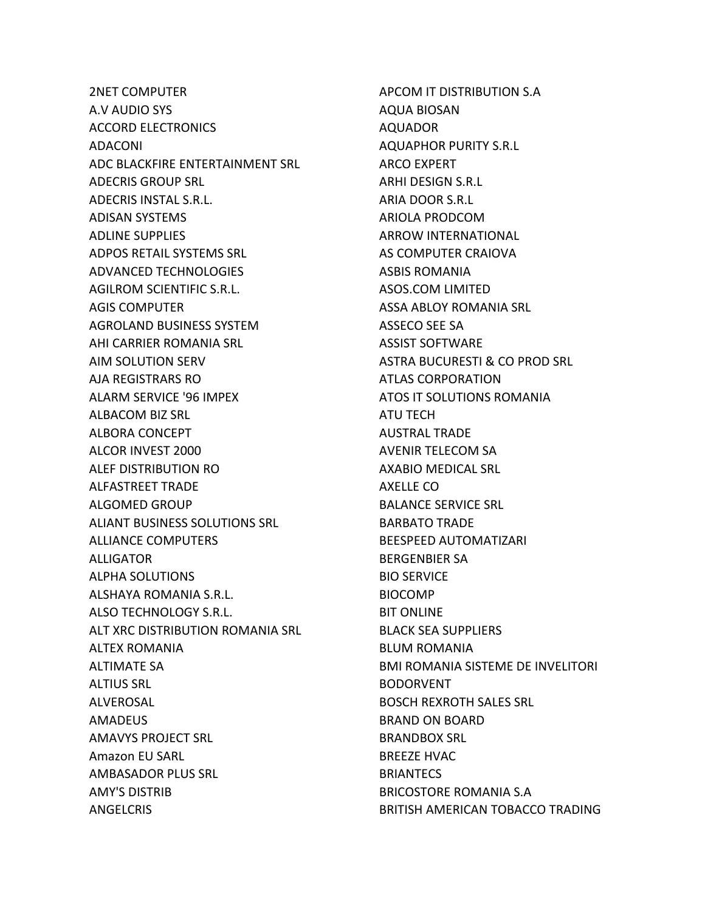2NET COMPUTER A.V AUDIO SYS ACCORD ELECTRONICS ADACONI ADC BLACKFIRE ENTERTAINMENT SRL ADECRIS GROUP SRL ADECRIS INSTAL S.R.L. ADISAN SYSTEMS ADLINE SUPPLIES ADPOS RETAIL SYSTEMS SRL ADVANCED TECHNOLOGIES AGILROM SCIENTIFIC S.R.L. AGIS COMPUTER AGROLAND BUSINESS SYSTEM AHI CARRIER ROMANIA SRL AIM SOLUTION SERV AJA REGISTRARS RO ALARM SERVICE '96 IMPEX ALBACOM BIZ SRL ALBORA CONCEPT ALCOR INVEST 2000 ALEF DISTRIBUTION RO ALFASTREET TRADE ALGOMED GROUP ALIANT BUSINESS SOLUTIONS SRL ALLIANCE COMPUTERS ALLIGATOR ALPHA SOLUTIONS ALSHAYA ROMANIA S.R.L. ALSO TECHNOLOGY S.R.L. ALT XRC DISTRIBUTION ROMANIA SRL ALTEX ROMANIA ALTIMATE SA ALTIUS SRL ALVEROSAL AMADEUS AMAVYS PROJECT SRL Amazon EU SARL AMBASADOR PLUS SRL AMY'S DISTRIB ANGELCRIS

APCOM IT DISTRIBUTION S.A AQUA BIOSAN AQUADOR AQUAPHOR PURITY S.R.L ARCO EXPERT ARHI DESIGN S.R.L ARIA DOOR S.R.L ARIOLA PRODCOM ARROW INTERNATIONAL AS COMPUTER CRAIOVA ASBIS ROMANIA ASOS.COM LIMITED ASSA ABLOY ROMANIA SRL ASSECO SEE SA ASSIST SOFTWARE ASTRA BUCURESTI & CO PROD SRL ATLAS CORPORATION ATOS IT SOLUTIONS ROMANIA ATU TECH AUSTRAL TRADE AVENIR TELECOM SA AXABIO MEDICAL SRL AXELLE CO BALANCE SERVICE SRL BARBATO TRADE BEESPEED AUTOMATIZARI BERGENBIER SA BIO SERVICE BIOCOMP BIT ONLINE BLACK SEA SUPPLIERS BLUM ROMANIA BMI ROMANIA SISTEME DE INVELITORI BODORVENT BOSCH REXROTH SALES SRL BRAND ON BOARD BRANDBOX SRL BREEZE HVAC **BRIANTECS** BRICOSTORE ROMANIA S.A BRITISH AMERICAN TOBACCO TRADING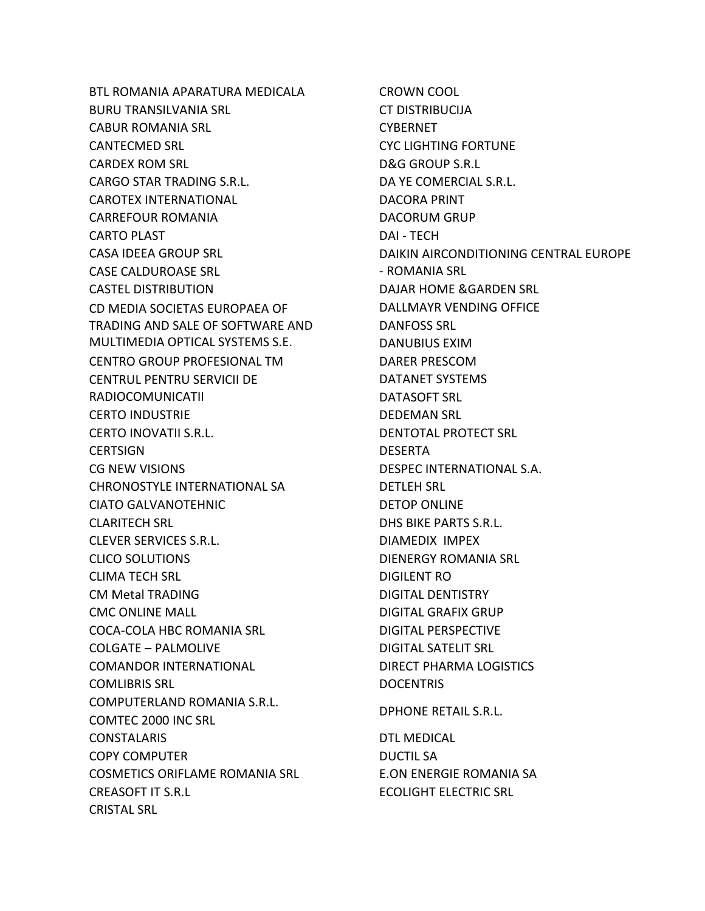BTL ROMANIA APARATURA MEDICALA BURU TRANSILVANIA SRL CABUR ROMANIA SRL CANTECMED SRL CARDEX ROM SRL CARGO STAR TRADING S.R.L. CAROTEX INTERNATIONAL CARREFOUR ROMANIA CARTO PLAST CASA IDEEA GROUP SRL CASE CALDUROASE SRL CASTEL DISTRIBUTION CD MEDIA SOCIETAS EUROPAEA OF TRADING AND SALE OF SOFTWARE AND MULTIMEDIA OPTICAL SYSTEMS S.E. CENTRO GROUP PROFESIONAL TM CENTRUL PENTRU SERVICII DE RADIOCOMUNICATII CERTO INDUSTRIE CERTO INOVATII S.R.L. **CERTSIGN** CG NEW VISIONS CHRONOSTYLE INTERNATIONAL SA CIATO GALVANOTEHNIC CLARITECH SRL CLEVER SERVICES S.R.L. CLICO SOLUTIONS CLIMA TECH SRL CM Metal TRADING CMC ONLINE MALL COCA-COLA HBC ROMANIA SRL COLGATE – PALMOLIVE COMANDOR INTERNATIONAL COMLIBRIS SRL COMPUTERLAND ROMANIA S.R.L. COMTEC 2000 INC SRL CONSTALARIS COPY COMPUTER COSMETICS ORIFLAME ROMANIA SRL CREASOFT IT S.R.L CRISTAL SRL

CROWN COOL CT DISTRIBUCIJA **CYBERNET** CYC LIGHTING FORTUNE D&G GROUP S.R.L DA YE COMERCIAL S.R.L. DACORA PRINT DACORUM GRUP DAI - TECH DAIKIN AIRCONDITIONING CENTRAL EUROPE - ROMANIA SRL DAJAR HOME &GARDEN SRL DALLMAYR VENDING OFFICE DANFOSS SRL DANUBIUS EXIM DARER PRESCOM DATANET SYSTEMS DATASOFT SRL DEDEMAN SRL DENTOTAL PROTECT SRL DESERTA DESPEC INTERNATIONAL S.A. DETLEH SRL DETOP ONLINE DHS BIKE PARTS S.R.L. DIAMEDIX IMPEX DIENERGY ROMANIA SRL DIGILENT RO DIGITAL DENTISTRY DIGITAL GRAFIX GRUP DIGITAL PERSPECTIVE DIGITAL SATELIT SRL DIRECT PHARMA LOGISTICS **DOCENTRIS** DPHONE RETAIL S.R.L. DTL MEDICAL DUCTIL SA E.ON ENERGIE ROMANIA SA ECOLIGHT ELECTRIC SRL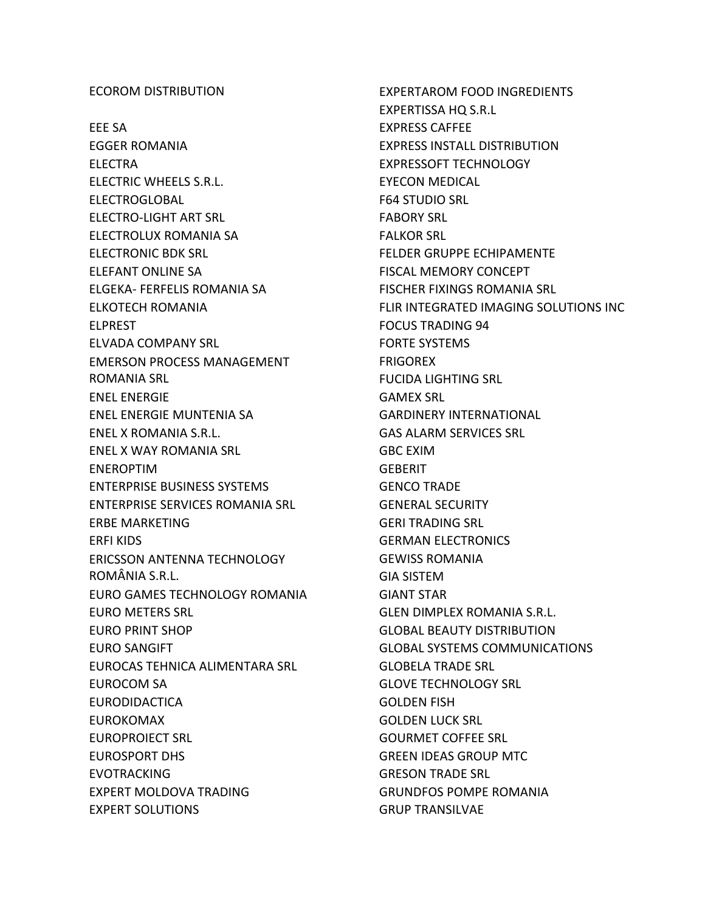## ECOROM DISTRIBUTION

EEE SA EGGER ROMANIA ELECTRA ELECTRIC WHEELS S.R.L. ELECTROGLOBAL ELECTRO-LIGHT ART SRL ELECTROLUX ROMANIA SA ELECTRONIC BDK SRL ELEFANT ONLINE SA ELGEKA- FERFELIS ROMANIA SA ELKOTECH ROMANIA ELPREST ELVADA COMPANY SRL EMERSON PROCESS MANAGEMENT ROMANIA SRL ENEL ENERGIE ENEL ENERGIE MUNTENIA SA ENEL X ROMANIA S.R.L. ENEL X WAY ROMANIA SRL ENEROPTIM ENTERPRISE BUSINESS SYSTEMS ENTERPRISE SERVICES ROMANIA SRL ERBE MARKETING ERFI KIDS ERICSSON ANTENNA TECHNOLOGY ROMÂNIA S.R.L. EURO GAMES TECHNOLOGY ROMANIA EURO METERS SRL EURO PRINT SHOP EURO SANGIFT EUROCAS TEHNICA ALIMENTARA SRL EUROCOM SA EURODIDACTICA EUROKOMAX EUROPROIECT SRL EUROSPORT DHS EVOTRACKING EXPERT MOLDOVA TRADING EXPERT SOLUTIONS

EXPERTAROM FOOD INGREDIENTS EXPERTISSA HQ S.R.L EXPRESS CAFFEE EXPRESS INSTALL DISTRIBUTION EXPRESSOFT TECHNOLOGY EYECON MEDICAL F64 STUDIO SRL FABORY SRL FALKOR SRL FELDER GRUPPE ECHIPAMENTE FISCAL MEMORY CONCEPT FISCHER FIXINGS ROMANIA SRL FLIR INTEGRATED IMAGING SOLUTIONS INC FOCUS TRADING 94 FORTE SYSTEMS **FRIGOREX** FUCIDA LIGHTING SRL GAMEX SRL GARDINERY INTERNATIONAL GAS ALARM SERVICES SRL GBC EXIM **GEBERIT** GENCO TRADE GENERAL SECURITY GERI TRADING SRL GERMAN ELECTRONICS GEWISS ROMANIA GIA SISTEM GIANT STAR GLEN DIMPLEX ROMANIA S.R.L. GLOBAL BEAUTY DISTRIBUTION GLOBAL SYSTEMS COMMUNICATIONS GLOBELA TRADE SRL GLOVE TECHNOLOGY SRL GOLDEN FISH GOLDEN LUCK SRL GOURMET COFFEE SRL GREEN IDEAS GROUP MTC GRESON TRADE SRL GRUNDFOS POMPE ROMANIA GRUP TRANSILVAE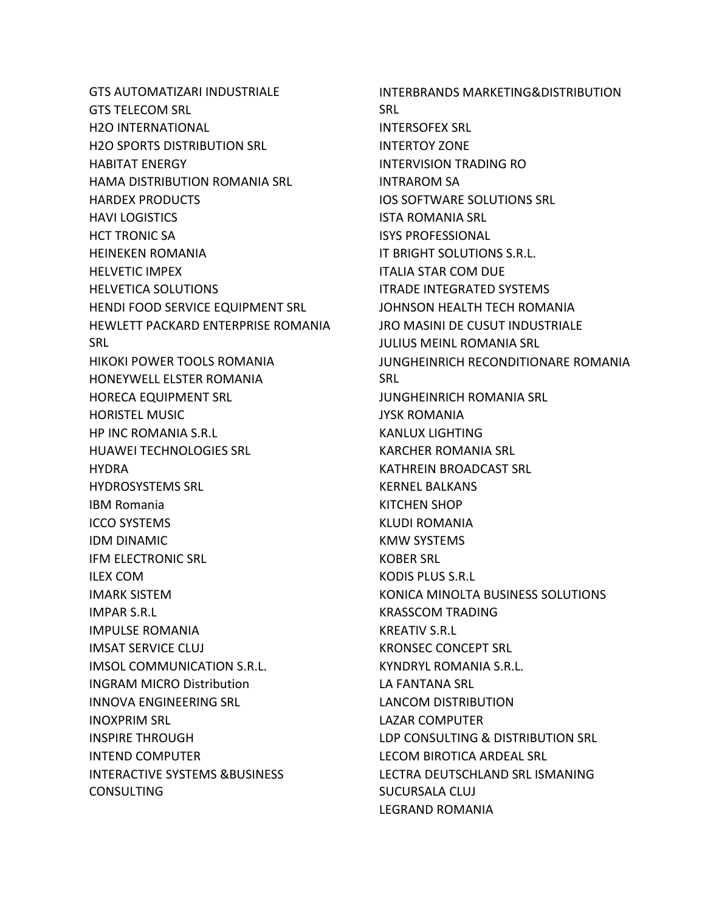GTS AUTOMATIZARI INDUSTRIALE GTS TELECOM SRL H2O INTERNATIONAL H2O SPORTS DISTRIBUTION SRL HABITAT ENERGY HAMA DISTRIBUTION ROMANIA SRL HARDEX PRODUCTS HAVI LOGISTICS HCT TRONIC SA HEINEKEN ROMANIA HELVETIC IMPEX HELVETICA SOLUTIONS HENDI FOOD SERVICE EQUIPMENT SRL HEWLETT PACKARD ENTERPRISE ROMANIA **SRL** HIKOKI POWER TOOLS ROMANIA HONEYWELL ELSTER ROMANIA HORECA EQUIPMENT SRL HORISTEL MUSIC HP INC ROMANIA S.R.L HUAWEI TECHNOLOGIES SRL HYDRA HYDROSYSTEMS SRL IBM Romania ICCO SYSTEMS IDM DINAMIC IFM ELECTRONIC SRL ILEX COM IMARK SISTEM IMPAR S.R.L IMPULSE ROMANIA IMSAT SERVICE CLUJ IMSOL COMMUNICATION S.R.L. INGRAM MICRO Distribution INNOVA ENGINEERING SRL INOXPRIM SRL INSPIRE THROUGH INTEND COMPUTER INTERACTIVE SYSTEMS &BUSINESS CONSULTING

INTERBRANDS MARKETING&DISTRIBUTION SRL INTERSOFEX SRL INTERTOY ZONE INTERVISION TRADING RO INTRAROM SA IOS SOFTWARE SOLUTIONS SRL ISTA ROMANIA SRL ISYS PROFESSIONAL IT BRIGHT SOLUTIONS S.R.L. ITALIA STAR COM DUE ITRADE INTEGRATED SYSTEMS JOHNSON HEALTH TECH ROMANIA JRO MASINI DE CUSUT INDUSTRIALE JULIUS MEINL ROMANIA SRL JUNGHEINRICH RECONDITIONARE ROMANIA SRL JUNGHEINRICH ROMANIA SRL JYSK ROMANIA KANLUX LIGHTING KARCHER ROMANIA SRL KATHREIN BROADCAST SRL KERNEL BALKANS KITCHEN SHOP KLUDI ROMANIA KMW SYSTEMS KOBER SRL KODIS PLUS S.R.L KONICA MINOLTA BUSINESS SOLUTIONS KRASSCOM TRADING KREATIV S.R.L KRONSEC CONCEPT SRL KYNDRYL ROMANIA S.R.L. LA FANTANA SRL LANCOM DISTRIBUTION LAZAR COMPUTER LDP CONSULTING & DISTRIBUTION SRL LECOM BIROTICA ARDEAL SRL LECTRA DEUTSCHLAND SRL ISMANING SUCURSALA CLUJ LEGRAND ROMANIA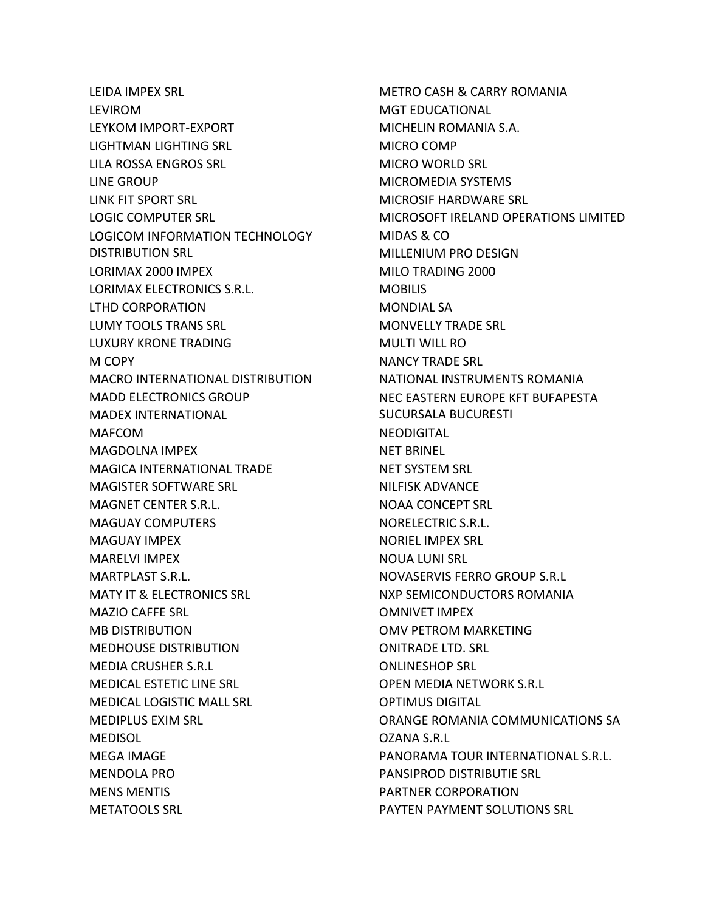LEIDA IMPEX SRL LEVIROM LEYKOM IMPORT-EXPORT LIGHTMAN LIGHTING SRL LILA ROSSA ENGROS SRL LINE GROUP LINK FIT SPORT SRL LOGIC COMPUTER SRL LOGICOM INFORMATION TECHNOLOGY DISTRIBUTION SRL LORIMAX 2000 IMPEX LORIMAX ELECTRONICS S.R.L. LTHD CORPORATION LUMY TOOLS TRANS SRL LUXURY KRONE TRADING M COPY MACRO INTERNATIONAL DISTRIBUTION MADD ELECTRONICS GROUP MADEX INTERNATIONAL MAFCOM MAGDOLNA IMPEX MAGICA INTERNATIONAL TRADE MAGISTER SOFTWARE SRL MAGNET CENTER S.R.L. MAGUAY COMPUTERS MAGUAY IMPEX MARELVI IMPEX MARTPLAST S.R.L. MATY IT & ELECTRONICS SRL MAZIO CAFFE SRL MB DISTRIBUTION MEDHOUSE DISTRIBUTION MEDIA CRUSHER S.R.L MEDICAL ESTETIC LINE SRL MEDICAL LOGISTIC MALL SRL MEDIPLUS EXIM SRL MEDISOL MEGA IMAGE MENDOLA PRO MENS MENTIS METATOOLS SRL

METRO CASH & CARRY ROMANIA MGT EDUCATIONAL MICHELIN ROMANIA S.A. MICRO COMP MICRO WORLD SRL MICROMEDIA SYSTEMS MICROSIF HARDWARE SRL MICROSOFT IRELAND OPERATIONS LIMITED MIDAS & CO MILLENIUM PRO DESIGN MILO TRADING 2000 MOBILIS MONDIAL SA MONVELLY TRADE SRL MULTI WILL RO NANCY TRADE SRL NATIONAL INSTRUMENTS ROMANIA NEC EASTERN EUROPE KFT BUFAPESTA SUCURSALA BUCURESTI NEODIGITAL NET BRINEL NET SYSTEM SRL NILFISK ADVANCE NOAA CONCEPT SRL NORELECTRIC S.R.L. NORIEL IMPEX SRL NOUA LUNI SRL NOVASERVIS FERRO GROUP S.R.L NXP SEMICONDUCTORS ROMANIA OMNIVET IMPEX OMV PETROM MARKETING ONITRADE LTD. SRL ONLINESHOP SRL OPEN MEDIA NETWORK S.R.L OPTIMUS DIGITAL ORANGE ROMANIA COMMUNICATIONS SA OZANA S.R.L PANORAMA TOUR INTERNATIONAL S.R.L. PANSIPROD DISTRIBUTIE SRL PARTNER CORPORATION PAYTEN PAYMENT SOLUTIONS SRL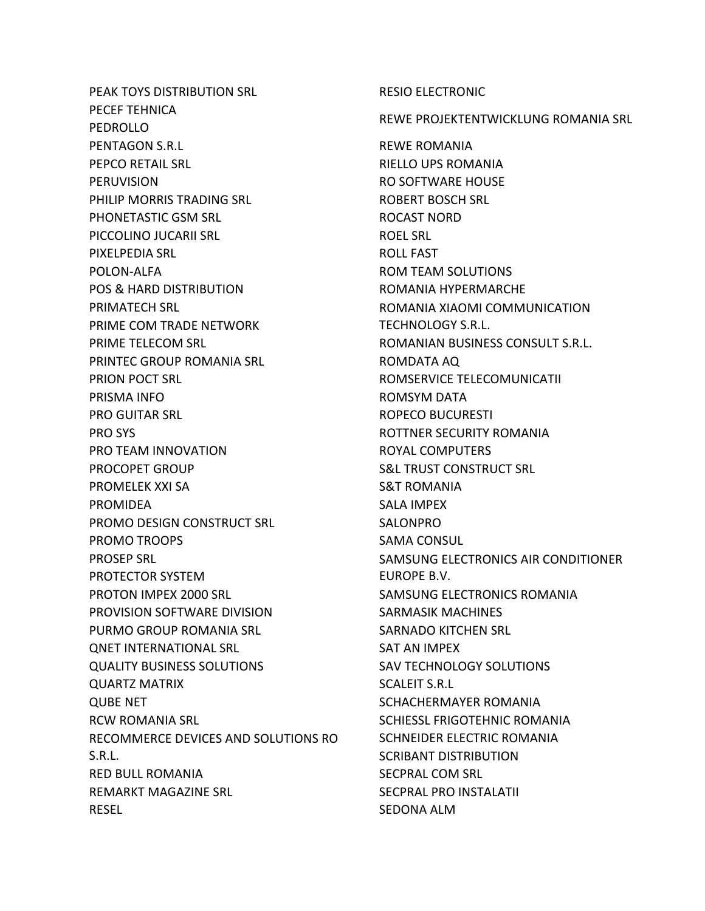PEAK TOYS DISTRIBUTION SRL PECEF TEHNICA PEDROLLO PENTAGON S.R.L PEPCO RETAIL SRL PERUVISION PHILIP MORRIS TRADING SRL PHONETASTIC GSM SRL PICCOLINO JUCARII SRL PIXELPEDIA SRL POLON-ALFA POS & HARD DISTRIBUTION PRIMATECH SRL PRIME COM TRADE NETWORK PRIME TELECOM SRL PRINTEC GROUP ROMANIA SRL PRION POCT SRL PRISMA INFO PRO GUITAR SRL PRO SYS PRO TEAM INNOVATION PROCOPET GROUP PROMELEK XXI SA PROMIDEA PROMO DESIGN CONSTRUCT SRL PROMO TROOPS PROSEP SRL PROTECTOR SYSTEM PROTON IMPEX 2000 SRL PROVISION SOFTWARE DIVISION PURMO GROUP ROMANIA SRL QNET INTERNATIONAL SRL QUALITY BUSINESS SOLUTIONS QUARTZ MATRIX QUBE NET RCW ROMANIA SRL RECOMMERCE DEVICES AND SOLUTIONS RO S.R.L. RED BULL ROMANIA REMARKT MAGAZINE SRL RESEL

RESIO ELECTRONIC REWE PROJEKTENTWICKLUNG ROMANIA SRL REWE ROMANIA RIELLO UPS ROMANIA RO SOFTWARE HOUSE ROBERT BOSCH SRL ROCAST NORD ROEL SRL ROLL FAST ROM TEAM SOLUTIONS ROMANIA HYPERMARCHE ROMANIA XIAOMI COMMUNICATION TECHNOLOGY S.R.L. ROMANIAN BUSINESS CONSULT S.R.L. ROMDATA AQ ROMSERVICE TELECOMUNICATII ROMSYM DATA ROPECO BUCURESTI ROTTNER SECURITY ROMANIA ROYAL COMPUTERS S&L TRUST CONSTRUCT SRL S&T ROMANIA SALA IMPEX SALONPRO SAMA CONSUL SAMSUNG ELECTRONICS AIR CONDITIONER EUROPE B.V. SAMSUNG ELECTRONICS ROMANIA SARMASIK MACHINES SARNADO KITCHEN SRL SAT AN IMPEX SAV TECHNOLOGY SOLUTIONS SCALEIT S.R.L SCHACHERMAYER ROMANIA SCHIESSL FRIGOTEHNIC ROMANIA SCHNEIDER ELECTRIC ROMANIA SCRIBANT DISTRIBUTION SECPRAL COM SRL SECPRAL PRO INSTALATII SEDONA ALM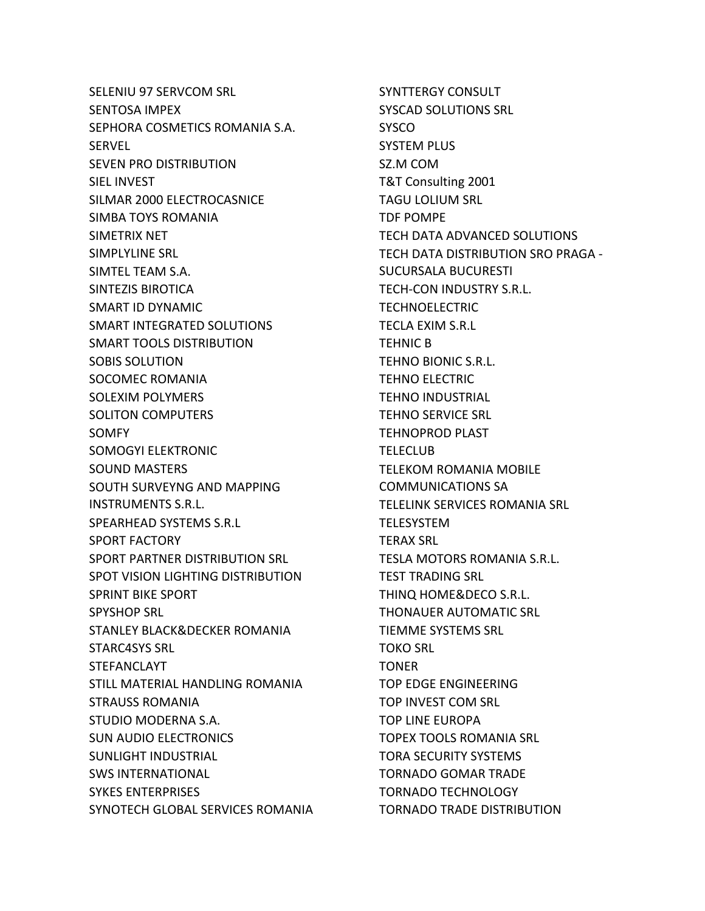SELENIU 97 SERVCOM SRL SENTOSA IMPEX SEPHORA COSMETICS ROMANIA S.A. SERVEL SEVEN PRO DISTRIBUTION SIEL INVEST SILMAR 2000 ELECTROCASNICE SIMBA TOYS ROMANIA SIMETRIX NET SIMPLYLINE SRL SIMTEL TEAM S.A. SINTEZIS BIROTICA SMART ID DYNAMIC SMART INTEGRATED SOLUTIONS SMART TOOLS DISTRIBUTION SOBIS SOLUTION SOCOMEC ROMANIA SOLEXIM POLYMERS SOLITON COMPUTERS SOMFY SOMOGYI ELEKTRONIC SOUND MASTERS SOUTH SURVEYNG AND MAPPING INSTRUMENTS S.R.L. SPEARHEAD SYSTEMS S.R.L SPORT FACTORY SPORT PARTNER DISTRIBUTION SRL SPOT VISION LIGHTING DISTRIBUTION SPRINT BIKE SPORT SPYSHOP SRL STANLEY BLACK&DECKER ROMANIA STARC4SYS SRL STEFANCLAYT STILL MATERIAL HANDLING ROMANIA STRAUSS ROMANIA STUDIO MODERNA S.A. SUN AUDIO ELECTRONICS SUNLIGHT INDUSTRIAL SWS INTERNATIONAL SYKES ENTERPRISES SYNOTECH GLOBAL SERVICES ROMANIA

SYNTTERGY CONSULT SYSCAD SOLUTIONS SRL **SYSCO** SYSTEM PLUS SZ.M COM T&T Consulting 2001 TAGU LOLIUM SRL TDF POMPE TECH DATA ADVANCED SOLUTIONS TECH DATA DISTRIBUTION SRO PRAGA - SUCURSALA BUCURESTI TECH-CON INDUSTRY S.R.L. TECHNOELECTRIC TECLA EXIM S.R.L TEHNIC B TEHNO BIONIC S.R.L. TEHNO ELECTRIC TEHNO INDUSTRIAL TEHNO SERVICE SRL TEHNOPROD PLAST **TELECLUB** TELEKOM ROMANIA MOBILE COMMUNICATIONS SA TELELINK SERVICES ROMANIA SRL TELESYSTEM TERAX SRL TESLA MOTORS ROMANIA S.R.L. TEST TRADING SRL THINQ HOME&DECO S.R.L. THONAUER AUTOMATIC SRL TIEMME SYSTEMS SRL TOKO SRL TONER TOP EDGE ENGINEERING TOP INVEST COM SRL TOP LINE EUROPA TOPEX TOOLS ROMANIA SRL TORA SECURITY SYSTEMS TORNADO GOMAR TRADE TORNADO TECHNOLOGY TORNADO TRADE DISTRIBUTION